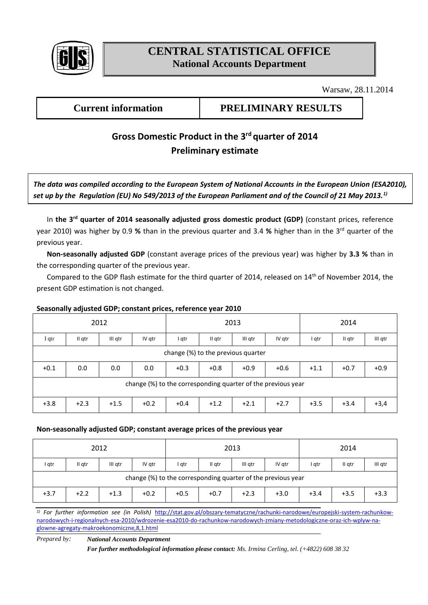

# **CENTRAL STATISTICAL OFFICE National Accounts Department**

Warsaw, 28.11.2014

## **Current information PRELIMINARY RESULTS**

## Gross Domestic Product in the 3<sup>rd</sup> quarter of 2014 **Preliminary estimate**

*The data was compiled according to the European System of National Accounts in the European Union (ESA2010), set up by the Regulation (EU) No 549/2013 of the European Parliament and of the Council of 21 May 2013.1)*

In **the 3 rd quarter of 2014 seasonally adjusted gross domestic product (GDP)** (constant prices, reference year 2010) was higher by 0.9 % than in the previous quarter and 3.4 % higher than in the 3<sup>rd</sup> quarter of the previous year.

**Non-seasonally adjusted GDP** (constant average prices of the previous year) was higher by **3.3 %** than in the corresponding quarter of the previous year.

Compared to the GDP flash estimate for the third quarter of 2014, released on 14<sup>th</sup> of November 2014, the present GDP estimation is not changed.

### **Seasonally adjusted GDP; constant prices, reference year 2010**

| 2012                                                         |        |         |        | 2013   |        |         |        | 2014   |        |         |  |  |
|--------------------------------------------------------------|--------|---------|--------|--------|--------|---------|--------|--------|--------|---------|--|--|
| I qtr                                                        | II qtr | III gtr | IV qtr | I gtr  | II qtr | III gtr | IV gtr | I qtr  | II qtr | III qtr |  |  |
| change (%) to the previous quarter                           |        |         |        |        |        |         |        |        |        |         |  |  |
| $+0.1$                                                       | 0.0    | 0.0     | 0.0    | $+0.3$ | $+0.8$ | $+0.9$  | $+0.6$ | $+1.1$ | $+0.7$ | $+0.9$  |  |  |
| change (%) to the corresponding quarter of the previous year |        |         |        |        |        |         |        |        |        |         |  |  |
| $+3.8$                                                       | $+2.3$ | $+1.5$  | $+0.2$ | $+0.4$ | $+1.2$ | $+2.1$  | $+2.7$ | $+3.5$ | $+3.4$ | $+3,4$  |  |  |

#### **Non-seasonally adjusted GDP; constant average prices of the previous year**

| 2012                                                         |        |         |        | 2013   |        |         |        | 2014   |        |         |  |
|--------------------------------------------------------------|--------|---------|--------|--------|--------|---------|--------|--------|--------|---------|--|
| l qtr                                                        | II gtr | III qtr | IV gtr | I gtr  | II qtr | III gtr | IV qtr | I qtr  | II gtr | III qtr |  |
| change (%) to the corresponding quarter of the previous year |        |         |        |        |        |         |        |        |        |         |  |
| $+3.7$                                                       | $+2.2$ | $+1.3$  | $+0.2$ | $+0.5$ | $+0.7$ | $+2.3$  | $+3.0$ | $+3.4$ | $+3.5$ | $+3.3$  |  |

*1) For further information see (in Polish)* [http://stat.gov.pl/obszary-tematyczne/rachunki-narodowe/europejski-system-rachunkow](http://stat.gov.pl/obszary-tematyczne/rachunki-narodowe/europejski-system-rachunkow-narodowych-i-regionalnych-esa-2010/wdrozenie-esa2010-do-rachunkow-narodowych-zmiany-metodologiczne-oraz-ich-wplyw-na-glowne-agregaty-makroekonomiczne,8,1.html)[narodowych-i-regionalnych-esa-2010/wdrozenie-esa2010-do-rachunkow-narodowych-zmiany-metodologiczne-oraz-ich-wplyw-na](http://stat.gov.pl/obszary-tematyczne/rachunki-narodowe/europejski-system-rachunkow-narodowych-i-regionalnych-esa-2010/wdrozenie-esa2010-do-rachunkow-narodowych-zmiany-metodologiczne-oraz-ich-wplyw-na-glowne-agregaty-makroekonomiczne,8,1.html)[glowne-agregaty-makroekonomiczne,8,1.html](http://stat.gov.pl/obszary-tematyczne/rachunki-narodowe/europejski-system-rachunkow-narodowych-i-regionalnych-esa-2010/wdrozenie-esa2010-do-rachunkow-narodowych-zmiany-metodologiczne-oraz-ich-wplyw-na-glowne-agregaty-makroekonomiczne,8,1.html)

*Prepared by: National Accounts Department*

*For further methodological information please contact: Ms. Irmina Cerling, tel. (+4822) 608 38 32*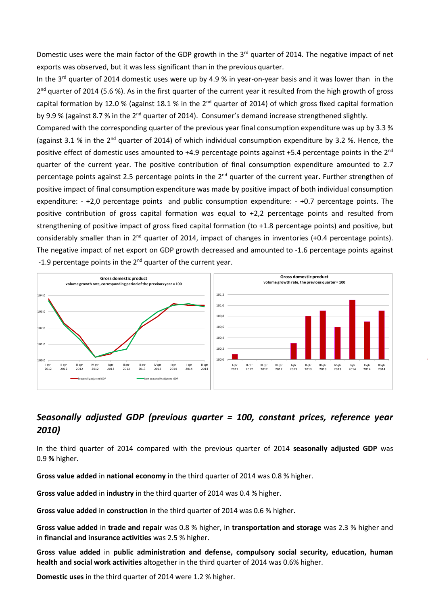Domestic uses were the main factor of the GDP growth in the 3<sup>rd</sup> quarter of 2014. The negative impact of net exports was observed, but it was less significant than in the previous quarter.

In the 3<sup>rd</sup> quarter of 2014 domestic uses were up by 4.9 % in year-on-year basis and it was lower than in the 2<sup>nd</sup> quarter of 2014 (5.6 %). As in the first quarter of the current year it resulted from the high growth of gross capital formation by 12.0 % (against 18.1 % in the  $2^{nd}$  quarter of 2014) of which gross fixed capital formation by 9.9 % (against 8.7 % in the 2<sup>nd</sup> quarter of 2014). Consumer's demand increase strengthened slightly.

Compared with the corresponding quarter of the previous year final consumption expenditure was up by 3.3 % (against 3.1 % in the 2<sup>nd</sup> quarter of 2014) of which individual consumption expenditure by 3.2 %. Hence, the positive effect of domestic uses amounted to +4.9 percentage points against +5.4 percentage points in the 2<sup>nd</sup> quarter of the current year. The positive contribution of final consumption expenditure amounted to 2.7 percentage points against 2.5 percentage points in the 2<sup>nd</sup> quarter of the current year. Further strengthen of positive impact of final consumption expenditure was made by positive impact of both individual consumption expenditure: - +2,0 percentage points and public consumption expenditure: - +0.7 percentage points. The positive contribution of gross capital formation was equal to +2,2 percentage points and resulted from strengthening of positive impact of gross fixed capital formation (to +1.8 percentage points) and positive, but considerably smaller than in  $2^{nd}$  quarter of 2014, impact of changes in inventories (+0.4 percentage points). The negative impact of net export on GDP growth decreased and amounted to -1.6 percentage points against -1.9 percentage points in the  $2^{nd}$  quarter of the current year.



## *Seasonally adjusted GDP (previous quarter = 100, constant prices, reference year 2010)*

In the third quarter of 2014 compared with the previous quarter of 2014 **seasonally adjusted GDP** was 0.9 **%** higher.

**Gross value added** in **national economy** in the third quarter of 2014 was 0.8 % higher.

**Gross value added** in **industry** in the third quarter of 2014 was 0.4 % higher.

**Gross value added** in **construction** in the third quarter of 2014 was 0.6 % higher.

**Gross value added** in **trade and repair** was 0.8 % higher, in **transportation and storage** was 2.3 % higher and in **financial and insurance activities** was 2.5 % higher.

**Gross value added** in **public administration and defense, compulsory social security, education, human health and social work activities** altogether in the third quarter of 2014 was 0.6% higher.

**Domestic uses** in the third quarter of 2014 were 1.2 % higher.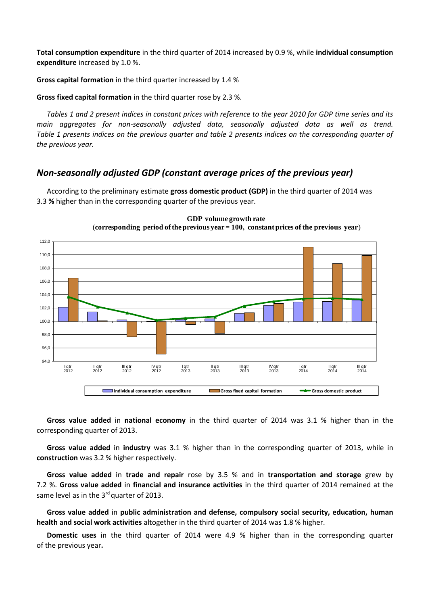**Total consumption expenditure** in the third quarter of 2014 increased by 0.9 %, while **individual consumption expenditure** increased by 1.0 %.

**Gross capital formation** in the third quarter increased by 1.4 %

**Gross fixed capital formation** in the third quarter rose by 2.3 %.

*Tables 1 and 2 present indices in constant prices with reference to the year 2010 for GDP time series and its main aggregates for non-seasonally adjusted data, seasonally adjusted data as well as trend. Table 1 presents indices on the previous quarter and table 2 presents indices on the corresponding quarter of the previous year.* 

## *Non-seasonally adjusted GDP (constant average prices of the previous year)*

According to the preliminary estimate **gross domestic product (GDP)** in the third quarter of 2014 was 3.3 **%** higher than in the corresponding quarter of the previous year.





**Gross value added** in **national economy** in the third quarter of 2014 was 3.1 % higher than in the corresponding quarter of 2013.

**Gross value added** in **industry** was 3.1 % higher than in the corresponding quarter of 2013, while in **construction** was 3.2 % higher respectively.

**Gross value added** in **trade and repair** rose by 3.5 % and in **transportation and storage** grew by 7.2 %. **Gross value added** in **financial and insurance activities** in the third quarter of 2014 remained at the same level as in the 3<sup>rd</sup> quarter of 2013.

**Gross value added** in **public administration and defense, compulsory social security, education, human health and social work activities** altogether in the third quarter of 2014 was 1.8 % higher.

**Domestic uses** in the third quarter of 2014 were 4.9 % higher than in the corresponding quarter of the previous year**.**